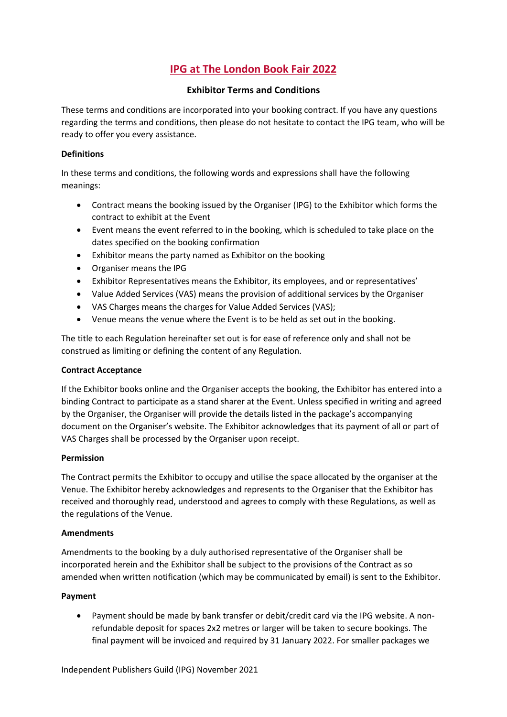# **IPG at The London Book Fair 2022**

# **Exhibitor Terms and Conditions**

These terms and conditions are incorporated into your booking contract. If you have any questions regarding the terms and conditions, then please do not hesitate to contact the IPG team, who will be ready to offer you every assistance.

#### **Definitions**

In these terms and conditions, the following words and expressions shall have the following meanings:

- Contract means the booking issued by the Organiser (IPG) to the Exhibitor which forms the contract to exhibit at the Event
- Event means the event referred to in the booking, which is scheduled to take place on the dates specified on the booking confirmation
- Exhibitor means the party named as Exhibitor on the booking
- Organiser means the IPG
- Exhibitor Representatives means the Exhibitor, its employees, and or representatives'
- Value Added Services (VAS) means the provision of additional services by the Organiser
- VAS Charges means the charges for Value Added Services (VAS);
- Venue means the venue where the Event is to be held as set out in the booking.

The title to each Regulation hereinafter set out is for ease of reference only and shall not be construed as limiting or defining the content of any Regulation.

# **Contract Acceptance**

If the Exhibitor books online and the Organiser accepts the booking, the Exhibitor has entered into a binding Contract to participate as a stand sharer at the Event. Unless specified in writing and agreed by the Organiser, the Organiser will provide the details listed in the package's accompanying document on the Organiser's website. The Exhibitor acknowledges that its payment of all or part of VAS Charges shall be processed by the Organiser upon receipt.

# **Permission**

The Contract permits the Exhibitor to occupy and utilise the space allocated by the organiser at the Venue. The Exhibitor hereby acknowledges and represents to the Organiser that the Exhibitor has received and thoroughly read, understood and agrees to comply with these Regulations, as well as the regulations of the Venue.

# **Amendments**

Amendments to the booking by a duly authorised representative of the Organiser shall be incorporated herein and the Exhibitor shall be subject to the provisions of the Contract as so amended when written notification (which may be communicated by email) is sent to the Exhibitor.

# **Payment**

• Payment should be made by bank transfer or debit/credit card via the IPG website. A nonrefundable deposit for spaces 2x2 metres or larger will be taken to secure bookings. The final payment will be invoiced and required by 31 January 2022. For smaller packages we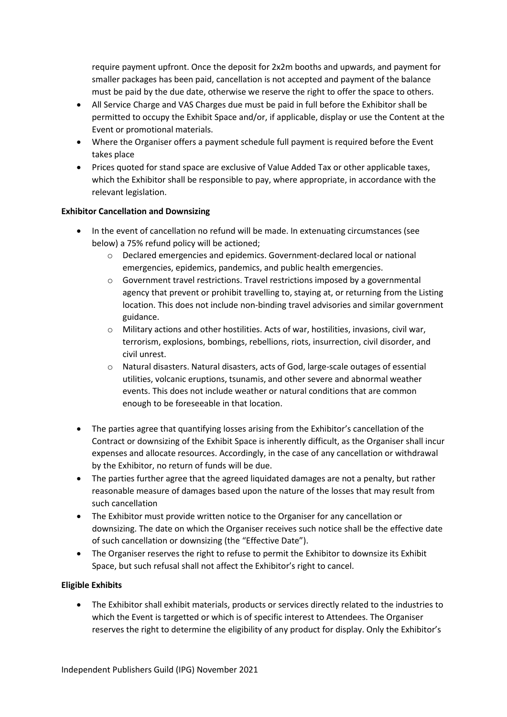require payment upfront. Once the deposit for 2x2m booths and upwards, and payment for smaller packages has been paid, cancellation is not accepted and payment of the balance must be paid by the due date, otherwise we reserve the right to offer the space to others.

- All Service Charge and VAS Charges due must be paid in full before the Exhibitor shall be permitted to occupy the Exhibit Space and/or, if applicable, display or use the Content at the Event or promotional materials.
- Where the Organiser offers a payment schedule full payment is required before the Event takes place
- Prices quoted for stand space are exclusive of Value Added Tax or other applicable taxes, which the Exhibitor shall be responsible to pay, where appropriate, in accordance with the relevant legislation.

#### **Exhibitor Cancellation and Downsizing**

- In the event of cancellation no refund will be made. In extenuating circumstances (see below) a 75% refund policy will be actioned;
	- o Declared emergencies and epidemics. Government-declared local or national emergencies, epidemics, pandemics, and public health emergencies.
	- o Government travel restrictions. Travel restrictions imposed by a governmental agency that prevent or prohibit travelling to, staying at, or returning from the Listing location. This does not include non-binding travel advisories and similar government guidance.
	- o Military actions and other hostilities. Acts of war, hostilities, invasions, civil war, terrorism, explosions, bombings, rebellions, riots, insurrection, civil disorder, and civil unrest.
	- o Natural disasters. Natural disasters, acts of God, large-scale outages of essential utilities, volcanic eruptions, tsunamis, and other severe and abnormal weather events. This does not include weather or natural conditions that are common enough to be foreseeable in that location.
- The parties agree that quantifying losses arising from the Exhibitor's cancellation of the Contract or downsizing of the Exhibit Space is inherently difficult, as the Organiser shall incur expenses and allocate resources. Accordingly, in the case of any cancellation or withdrawal by the Exhibitor, no return of funds will be due.
- The parties further agree that the agreed liquidated damages are not a penalty, but rather reasonable measure of damages based upon the nature of the losses that may result from such cancellation
- The Exhibitor must provide written notice to the Organiser for any cancellation or downsizing. The date on which the Organiser receives such notice shall be the effective date of such cancellation or downsizing (the "Effective Date").
- The Organiser reserves the right to refuse to permit the Exhibitor to downsize its Exhibit Space, but such refusal shall not affect the Exhibitor's right to cancel.

# **Eligible Exhibits**

• The Exhibitor shall exhibit materials, products or services directly related to the industries to which the Event is targetted or which is of specific interest to Attendees. The Organiser reserves the right to determine the eligibility of any product for display. Only the Exhibitor's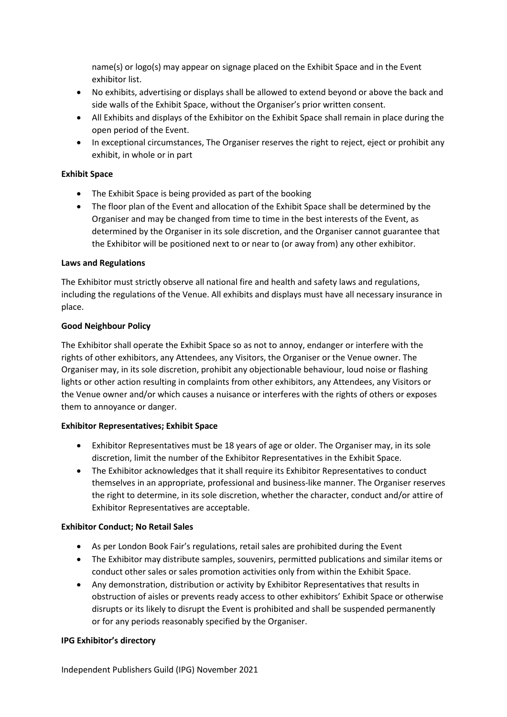name(s) or logo(s) may appear on signage placed on the Exhibit Space and in the Event exhibitor list.

- No exhibits, advertising or displays shall be allowed to extend beyond or above the back and side walls of the Exhibit Space, without the Organiser's prior written consent.
- All Exhibits and displays of the Exhibitor on the Exhibit Space shall remain in place during the open period of the Event.
- In exceptional circumstances, The Organiser reserves the right to reject, eject or prohibit any exhibit, in whole or in part

#### **Exhibit Space**

- The Exhibit Space is being provided as part of the booking
- The floor plan of the Event and allocation of the Exhibit Space shall be determined by the Organiser and may be changed from time to time in the best interests of the Event, as determined by the Organiser in its sole discretion, and the Organiser cannot guarantee that the Exhibitor will be positioned next to or near to (or away from) any other exhibitor.

#### **Laws and Regulations**

The Exhibitor must strictly observe all national fire and health and safety laws and regulations, including the regulations of the Venue. All exhibits and displays must have all necessary insurance in place.

#### **Good Neighbour Policy**

The Exhibitor shall operate the Exhibit Space so as not to annoy, endanger or interfere with the rights of other exhibitors, any Attendees, any Visitors, the Organiser or the Venue owner. The Organiser may, in its sole discretion, prohibit any objectionable behaviour, loud noise or flashing lights or other action resulting in complaints from other exhibitors, any Attendees, any Visitors or the Venue owner and/or which causes a nuisance or interferes with the rights of others or exposes them to annoyance or danger.

# **Exhibitor Representatives; Exhibit Space**

- Exhibitor Representatives must be 18 years of age or older. The Organiser may, in its sole discretion, limit the number of the Exhibitor Representatives in the Exhibit Space.
- The Exhibitor acknowledges that it shall require its Exhibitor Representatives to conduct themselves in an appropriate, professional and business-like manner. The Organiser reserves the right to determine, in its sole discretion, whether the character, conduct and/or attire of Exhibitor Representatives are acceptable.

# **Exhibitor Conduct; No Retail Sales**

- As per London Book Fair's regulations, retail sales are prohibited during the Event
- The Exhibitor may distribute samples, souvenirs, permitted publications and similar items or conduct other sales or sales promotion activities only from within the Exhibit Space.
- Any demonstration, distribution or activity by Exhibitor Representatives that results in obstruction of aisles or prevents ready access to other exhibitors' Exhibit Space or otherwise disrupts or its likely to disrupt the Event is prohibited and shall be suspended permanently or for any periods reasonably specified by the Organiser.

# **IPG Exhibitor's directory**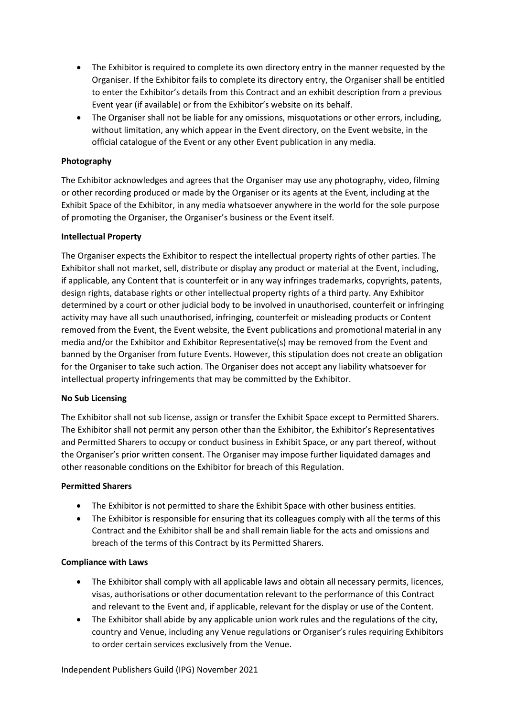- The Exhibitor is required to complete its own directory entry in the manner requested by the Organiser. If the Exhibitor fails to complete its directory entry, the Organiser shall be entitled to enter the Exhibitor's details from this Contract and an exhibit description from a previous Event year (if available) or from the Exhibitor's website on its behalf.
- The Organiser shall not be liable for any omissions, misquotations or other errors, including, without limitation, any which appear in the Event directory, on the Event website, in the official catalogue of the Event or any other Event publication in any media.

#### **Photography**

The Exhibitor acknowledges and agrees that the Organiser may use any photography, video, filming or other recording produced or made by the Organiser or its agents at the Event, including at the Exhibit Space of the Exhibitor, in any media whatsoever anywhere in the world for the sole purpose of promoting the Organiser, the Organiser's business or the Event itself.

#### **Intellectual Property**

The Organiser expects the Exhibitor to respect the intellectual property rights of other parties. The Exhibitor shall not market, sell, distribute or display any product or material at the Event, including, if applicable, any Content that is counterfeit or in any way infringes trademarks, copyrights, patents, design rights, database rights or other intellectual property rights of a third party. Any Exhibitor determined by a court or other judicial body to be involved in unauthorised, counterfeit or infringing activity may have all such unauthorised, infringing, counterfeit or misleading products or Content removed from the Event, the Event website, the Event publications and promotional material in any media and/or the Exhibitor and Exhibitor Representative(s) may be removed from the Event and banned by the Organiser from future Events. However, this stipulation does not create an obligation for the Organiser to take such action. The Organiser does not accept any liability whatsoever for intellectual property infringements that may be committed by the Exhibitor.

#### **No Sub Licensing**

The Exhibitor shall not sub license, assign or transfer the Exhibit Space except to Permitted Sharers. The Exhibitor shall not permit any person other than the Exhibitor, the Exhibitor's Representatives and Permitted Sharers to occupy or conduct business in Exhibit Space, or any part thereof, without the Organiser's prior written consent. The Organiser may impose further liquidated damages and other reasonable conditions on the Exhibitor for breach of this Regulation.

#### **Permitted Sharers**

- The Exhibitor is not permitted to share the Exhibit Space with other business entities.
- The Exhibitor is responsible for ensuring that its colleagues comply with all the terms of this Contract and the Exhibitor shall be and shall remain liable for the acts and omissions and breach of the terms of this Contract by its Permitted Sharers.

#### **Compliance with Laws**

- The Exhibitor shall comply with all applicable laws and obtain all necessary permits, licences, visas, authorisations or other documentation relevant to the performance of this Contract and relevant to the Event and, if applicable, relevant for the display or use of the Content.
- The Exhibitor shall abide by any applicable union work rules and the regulations of the city, country and Venue, including any Venue regulations or Organiser's rules requiring Exhibitors to order certain services exclusively from the Venue.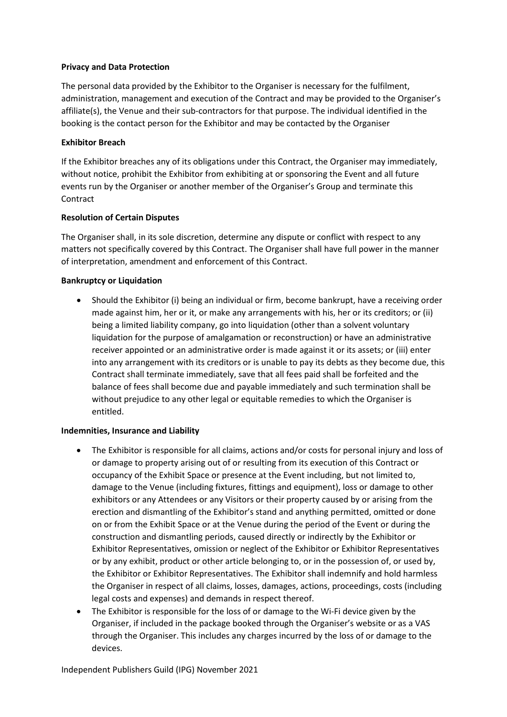#### **Privacy and Data Protection**

The personal data provided by the Exhibitor to the Organiser is necessary for the fulfilment, administration, management and execution of the Contract and may be provided to the Organiser's affiliate(s), the Venue and their sub-contractors for that purpose. The individual identified in the booking is the contact person for the Exhibitor and may be contacted by the Organiser

# **Exhibitor Breach**

If the Exhibitor breaches any of its obligations under this Contract, the Organiser may immediately, without notice, prohibit the Exhibitor from exhibiting at or sponsoring the Event and all future events run by the Organiser or another member of the Organiser's Group and terminate this **Contract** 

#### **Resolution of Certain Disputes**

The Organiser shall, in its sole discretion, determine any dispute or conflict with respect to any matters not specifically covered by this Contract. The Organiser shall have full power in the manner of interpretation, amendment and enforcement of this Contract.

# **Bankruptcy or Liquidation**

• Should the Exhibitor (i) being an individual or firm, become bankrupt, have a receiving order made against him, her or it, or make any arrangements with his, her or its creditors; or (ii) being a limited liability company, go into liquidation (other than a solvent voluntary liquidation for the purpose of amalgamation or reconstruction) or have an administrative receiver appointed or an administrative order is made against it or its assets; or (iii) enter into any arrangement with its creditors or is unable to pay its debts as they become due, this Contract shall terminate immediately, save that all fees paid shall be forfeited and the balance of fees shall become due and payable immediately and such termination shall be without prejudice to any other legal or equitable remedies to which the Organiser is entitled.

#### **Indemnities, Insurance and Liability**

- The Exhibitor is responsible for all claims, actions and/or costs for personal injury and loss of or damage to property arising out of or resulting from its execution of this Contract or occupancy of the Exhibit Space or presence at the Event including, but not limited to, damage to the Venue (including fixtures, fittings and equipment), loss or damage to other exhibitors or any Attendees or any Visitors or their property caused by or arising from the erection and dismantling of the Exhibitor's stand and anything permitted, omitted or done on or from the Exhibit Space or at the Venue during the period of the Event or during the construction and dismantling periods, caused directly or indirectly by the Exhibitor or Exhibitor Representatives, omission or neglect of the Exhibitor or Exhibitor Representatives or by any exhibit, product or other article belonging to, or in the possession of, or used by, the Exhibitor or Exhibitor Representatives. The Exhibitor shall indemnify and hold harmless the Organiser in respect of all claims, losses, damages, actions, proceedings, costs (including legal costs and expenses) and demands in respect thereof.
- The Exhibitor is responsible for the loss of or damage to the Wi-Fi device given by the Organiser, if included in the package booked through the Organiser's website or as a VAS through the Organiser. This includes any charges incurred by the loss of or damage to the devices.